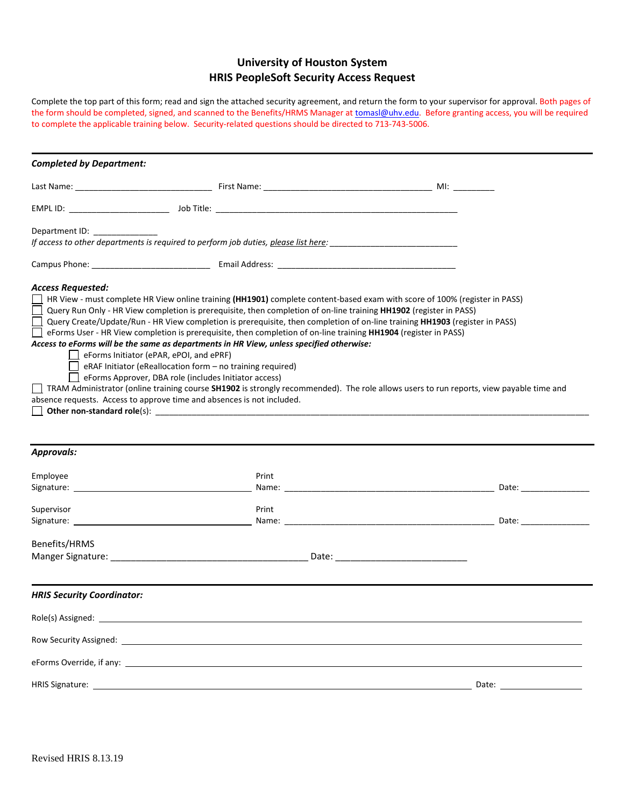# **University of Houston System HRIS PeopleSoft Security Access Request**

Complete the top part of this form; read and sign the attached security agreement, and return the form to your supervisor for approval. Both pages of the form should be completed, signed, and scanned to the Benefits/HRMS Manager a[t tomasl@uhv.edu.](mailto:tomasl@uhv.edu) Before granting access, you will be required to complete the applicable training below. Security-related questions should be directed to 713-743-5006.

| <b>Completed by Department:</b>                                                                                                                                                                                                                                                                                                                                                                                                                                                                                                                                                                                                                                                                                                                                                                                                                                                                                                                                                                                |       |  |                                                                                                                                                                                                                                |
|----------------------------------------------------------------------------------------------------------------------------------------------------------------------------------------------------------------------------------------------------------------------------------------------------------------------------------------------------------------------------------------------------------------------------------------------------------------------------------------------------------------------------------------------------------------------------------------------------------------------------------------------------------------------------------------------------------------------------------------------------------------------------------------------------------------------------------------------------------------------------------------------------------------------------------------------------------------------------------------------------------------|-------|--|--------------------------------------------------------------------------------------------------------------------------------------------------------------------------------------------------------------------------------|
|                                                                                                                                                                                                                                                                                                                                                                                                                                                                                                                                                                                                                                                                                                                                                                                                                                                                                                                                                                                                                |       |  |                                                                                                                                                                                                                                |
|                                                                                                                                                                                                                                                                                                                                                                                                                                                                                                                                                                                                                                                                                                                                                                                                                                                                                                                                                                                                                |       |  |                                                                                                                                                                                                                                |
| Department ID:<br>If access to other departments is required to perform job duties, please list here:                                                                                                                                                                                                                                                                                                                                                                                                                                                                                                                                                                                                                                                                                                                                                                                                                                                                                                          |       |  |                                                                                                                                                                                                                                |
|                                                                                                                                                                                                                                                                                                                                                                                                                                                                                                                                                                                                                                                                                                                                                                                                                                                                                                                                                                                                                |       |  |                                                                                                                                                                                                                                |
| $\Box$ HR View - must complete HR View online training (HH1901) complete content-based exam with score of 100% (register in PASS)<br>Query Run Only - HR View completion is prerequisite, then completion of on-line training HH1902 (register in PASS)<br>Query Create/Update/Run - HR View completion is prerequisite, then completion of on-line training HH1903 (register in PASS)<br>eForms User - HR View completion is prerequisite, then completion of on-line training HH1904 (register in PASS)<br>Access to eForms will be the same as departments in HR View, unless specified otherwise:<br>eForms Initiator (ePAR, ePOI, and ePRF)<br>$\Box$ eRAF Initiator (eReallocation form $-$ no training required)<br>$\Box$ eForms Approver, DBA role (includes Initiator access)<br>□ TRAM Administrator (online training course SH1902 is strongly recommended). The role allows users to run reports, view payable time and<br>absence requests. Access to approve time and absences is not included. |       |  |                                                                                                                                                                                                                                |
| <b>Approvals:</b>                                                                                                                                                                                                                                                                                                                                                                                                                                                                                                                                                                                                                                                                                                                                                                                                                                                                                                                                                                                              |       |  |                                                                                                                                                                                                                                |
| Employee<br>Signature: the contract of the contract of the contract of the contract of the contract of the contract of the contract of the contract of the contract of the contract of the contract of the contract of the contract of the                                                                                                                                                                                                                                                                                                                                                                                                                                                                                                                                                                                                                                                                                                                                                                     | Print |  | Date: the contract of the contract of the contract of the contract of the contract of the contract of the contract of the contract of the contract of the contract of the contract of the contract of the contract of the cont |
| Supervisor<br>Signature: <u>with the set of the set of the set of the set of the set of the set of the set of the set of the set of the set of the set of the set of the set of the set of the set of the set of the set of the set of the set</u>                                                                                                                                                                                                                                                                                                                                                                                                                                                                                                                                                                                                                                                                                                                                                             | Print |  | Date: and the state of the state of the state of the state of the state of the state of the state of the state of the state of the state of the state of the state of the state of the state of the state of the state of the  |
| Benefits/HRMS                                                                                                                                                                                                                                                                                                                                                                                                                                                                                                                                                                                                                                                                                                                                                                                                                                                                                                                                                                                                  |       |  |                                                                                                                                                                                                                                |
| <b>HRIS Security Coordinator:</b>                                                                                                                                                                                                                                                                                                                                                                                                                                                                                                                                                                                                                                                                                                                                                                                                                                                                                                                                                                              |       |  |                                                                                                                                                                                                                                |
|                                                                                                                                                                                                                                                                                                                                                                                                                                                                                                                                                                                                                                                                                                                                                                                                                                                                                                                                                                                                                |       |  |                                                                                                                                                                                                                                |
| Row Security Assigned: 2008 2009 2010 2020 2021 2022 2023 2024 2022 2023 2024 2022 2023 2024 2022 20                                                                                                                                                                                                                                                                                                                                                                                                                                                                                                                                                                                                                                                                                                                                                                                                                                                                                                           |       |  |                                                                                                                                                                                                                                |
|                                                                                                                                                                                                                                                                                                                                                                                                                                                                                                                                                                                                                                                                                                                                                                                                                                                                                                                                                                                                                |       |  |                                                                                                                                                                                                                                |
| HRIS Signature: <u>contract and the contract of the contract of the contract of the contract of the contract of the contract of the contract of the contract of the contract of the contract of the contract of the contract of </u>                                                                                                                                                                                                                                                                                                                                                                                                                                                                                                                                                                                                                                                                                                                                                                           |       |  |                                                                                                                                                                                                                                |